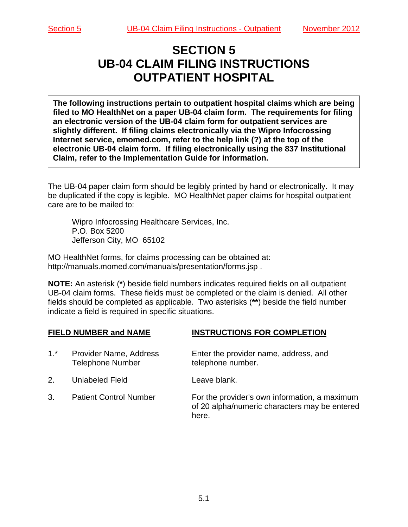# **SECTION 5 UB-04 CLAIM FILING INSTRUCTIONS OUTPATIENT HOSPITAL**

**The following instructions pertain to outpatient hospital claims which are being filed to MO HealthNet on a paper UB-04 claim form. The requirements for filing an electronic version of the UB-04 claim form for outpatient services are slightly different. If filing claims electronically via the Wipro Infocrossing Internet service, emomed.com, refer to the help link (?) at the top of the electronic UB-04 claim form. If filing electronically using the 837 Institutional Claim, refer to the Implementation Guide for information.**

The UB-04 paper claim form should be legibly printed by hand or electronically. It may be duplicated if the copy is legible. MO HealthNet paper claims for hospital outpatient care are to be mailed to:

Wipro Infocrossing Healthcare Services, Inc. P.O. Box 5200 Jefferson City, MO 65102

MO HealthNet forms, for claims processing can be obtained at: http://manuals.momed.com/manuals/presentation/forms.jsp .

**NOTE:** An asterisk (**\***) beside field numbers indicates required fields on all outpatient UB-04 claim forms. These fields must be completed or the claim is denied. All other fields should be completed as applicable. Two asterisks (**\*\***) beside the field number indicate a field is required in specific situations.

**FIELD NUMBER and NAME INSTRUCTIONS FOR COMPLETION**

| $1.$ <sup>*</sup> | Provider Name, Address<br><b>Telephone Number</b> | Enter the provider name, address, and<br>telephone number.                                              |
|-------------------|---------------------------------------------------|---------------------------------------------------------------------------------------------------------|
| $2_{-}$           | Unlabeled Field                                   | Leave blank.                                                                                            |
| 3.                | <b>Patient Control Number</b>                     | For the provider's own information, a maximum<br>of 20 alpha/numeric characters may be entered<br>here. |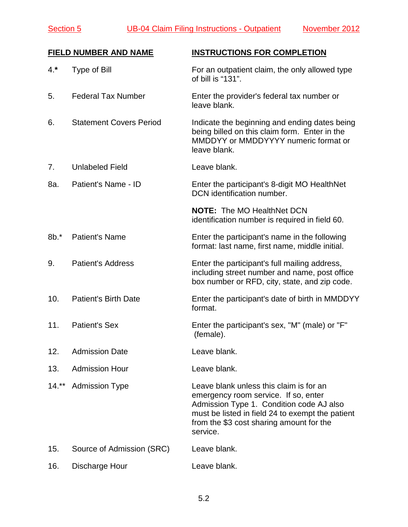Section 5 UB-04 Claim Filing Instructions - Outpatient November 2012

|        | <b>FIELD NUMBER AND NAME</b>   | <b>INSTRUCTIONS FOR COMPLETION</b>                                                                                                                                                                                                      |
|--------|--------------------------------|-----------------------------------------------------------------------------------------------------------------------------------------------------------------------------------------------------------------------------------------|
| $4.*$  | Type of Bill                   | For an outpatient claim, the only allowed type<br>of bill is "131".                                                                                                                                                                     |
| 5.     | <b>Federal Tax Number</b>      | Enter the provider's federal tax number or<br>leave blank.                                                                                                                                                                              |
| 6.     | <b>Statement Covers Period</b> | Indicate the beginning and ending dates being<br>being billed on this claim form. Enter in the<br>MMDDYY or MMDDYYYY numeric format or<br>leave blank.                                                                                  |
| 7.     | <b>Unlabeled Field</b>         | Leave blank.                                                                                                                                                                                                                            |
| 8a.    | Patient's Name - ID            | Enter the participant's 8-digit MO HealthNet<br>DCN identification number.                                                                                                                                                              |
|        |                                | <b>NOTE: The MO HealthNet DCN</b><br>identification number is required in field 60.                                                                                                                                                     |
| $8b.*$ | <b>Patient's Name</b>          | Enter the participant's name in the following<br>format: last name, first name, middle initial.                                                                                                                                         |
| 9.     | <b>Patient's Address</b>       | Enter the participant's full mailing address,<br>including street number and name, post office<br>box number or RFD, city, state, and zip code.                                                                                         |
| 10.    | <b>Patient's Birth Date</b>    | Enter the participant's date of birth in MMDDYY<br>format.                                                                                                                                                                              |
| 11.    | <b>Patient's Sex</b>           | Enter the participant's sex, "M" (male) or "F"<br>(female).                                                                                                                                                                             |
| 12.    | <b>Admission Date</b>          | Leave blank.                                                                                                                                                                                                                            |
| 13.    | <b>Admission Hour</b>          | Leave blank.                                                                                                                                                                                                                            |
| $14.*$ | <b>Admission Type</b>          | Leave blank unless this claim is for an<br>emergency room service. If so, enter<br>Admission Type 1. Condition code AJ also<br>must be listed in field 24 to exempt the patient<br>from the \$3 cost sharing amount for the<br>service. |
| 15.    | Source of Admission (SRC)      | Leave blank.                                                                                                                                                                                                                            |
| 16.    | Discharge Hour                 | Leave blank.                                                                                                                                                                                                                            |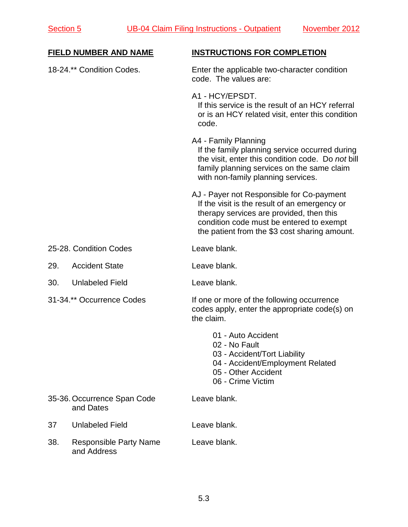|     | FIELD NUMBER AND NAME                        | <b>INSTRUCTIONS FOR COMPLETION</b>                                                                                                                                                                                                  |
|-----|----------------------------------------------|-------------------------------------------------------------------------------------------------------------------------------------------------------------------------------------------------------------------------------------|
|     | 18-24.** Condition Codes.                    | Enter the applicable two-character condition<br>code. The values are:                                                                                                                                                               |
|     |                                              | A1 - HCY/EPSDT.<br>If this service is the result of an HCY referral<br>or is an HCY related visit, enter this condition<br>code.                                                                                                    |
|     |                                              | A4 - Family Planning<br>If the family planning service occurred during<br>the visit, enter this condition code. Do not bill<br>family planning services on the same claim<br>with non-family planning services.                     |
|     |                                              | AJ - Payer not Responsible for Co-payment<br>If the visit is the result of an emergency or<br>therapy services are provided, then this<br>condition code must be entered to exempt<br>the patient from the \$3 cost sharing amount. |
|     | 25-28. Condition Codes                       | Leave blank.                                                                                                                                                                                                                        |
| 29. | <b>Accident State</b>                        | Leave blank.                                                                                                                                                                                                                        |
| 30. | <b>Unlabeled Field</b>                       | Leave blank.                                                                                                                                                                                                                        |
|     | 31-34.** Occurrence Codes                    | If one or more of the following occurrence<br>codes apply, enter the appropriate code(s) on<br>the claim.                                                                                                                           |
|     |                                              | 01 - Auto Accident<br>02 - No Fault<br>03 - Accident/Tort Liability<br>04 - Accident/Employment Related<br>05 - Other Accident<br>06 - Crime Victim                                                                                 |
|     | 35-36. Occurrence Span Code<br>and Dates     | Leave blank.                                                                                                                                                                                                                        |
| 37  | <b>Unlabeled Field</b>                       | Leave blank.                                                                                                                                                                                                                        |
| 38. | <b>Responsible Party Name</b><br>and Address | Leave blank.                                                                                                                                                                                                                        |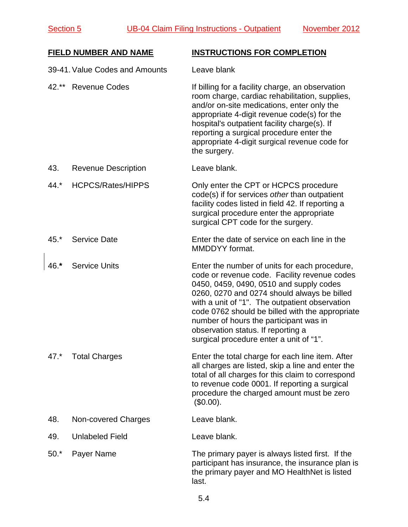### **FIELD NUMBER AND NAME INSTRUCTIONS FOR COMPLETION**

|        | 39-41. Value Codes and Amounts | Leave blank                                                                                                                                                                                                                                                                                                                                                                                                             |
|--------|--------------------------------|-------------------------------------------------------------------------------------------------------------------------------------------------------------------------------------------------------------------------------------------------------------------------------------------------------------------------------------------------------------------------------------------------------------------------|
| 42.**  | <b>Revenue Codes</b>           | If billing for a facility charge, an observation<br>room charge, cardiac rehabilitation, supplies,<br>and/or on-site medications, enter only the<br>appropriate 4-digit revenue code(s) for the<br>hospital's outpatient facility charge(s). If<br>reporting a surgical procedure enter the<br>appropriate 4-digit surgical revenue code for<br>the surgery.                                                            |
| 43.    | <b>Revenue Description</b>     | Leave blank.                                                                                                                                                                                                                                                                                                                                                                                                            |
| $44.*$ | <b>HCPCS/Rates/HIPPS</b>       | Only enter the CPT or HCPCS procedure<br>code(s) if for services other than outpatient<br>facility codes listed in field 42. If reporting a<br>surgical procedure enter the appropriate<br>surgical CPT code for the surgery.                                                                                                                                                                                           |
| $45.*$ | <b>Service Date</b>            | Enter the date of service on each line in the<br>MMDDYY format.                                                                                                                                                                                                                                                                                                                                                         |
| $46.*$ | <b>Service Units</b>           | Enter the number of units for each procedure,<br>code or revenue code. Facility revenue codes<br>0450, 0459, 0490, 0510 and supply codes<br>0260, 0270 and 0274 should always be billed<br>with a unit of "1". The outpatient observation<br>code 0762 should be billed with the appropriate<br>number of hours the participant was in<br>observation status. If reporting a<br>surgical procedure enter a unit of "1". |
| $47.*$ | <b>Total Charges</b>           | Enter the total charge for each line item. After<br>all charges are listed, skip a line and enter the<br>total of all charges for this claim to correspond<br>to revenue code 0001. If reporting a surgical<br>procedure the charged amount must be zero<br>(\$0.00).                                                                                                                                                   |
| 48.    | Non-covered Charges            | Leave blank.                                                                                                                                                                                                                                                                                                                                                                                                            |
| 49.    | <b>Unlabeled Field</b>         | Leave blank.                                                                                                                                                                                                                                                                                                                                                                                                            |
| $50.*$ | Payer Name                     | The primary payer is always listed first. If the<br>participant has insurance, the insurance plan is<br>the primary payer and MO HealthNet is listed<br>last.                                                                                                                                                                                                                                                           |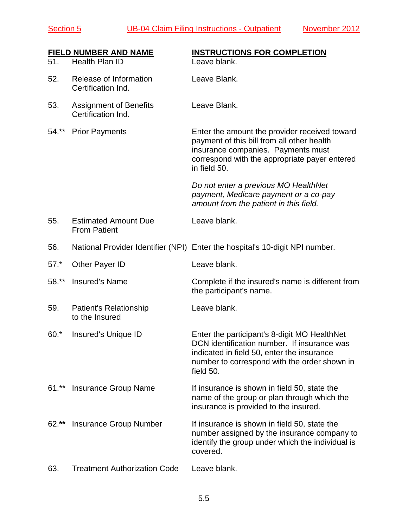Section 5 UB-04 Claim Filing Instructions - Outpatient November 2012

| 51.    | <b>FIELD NUMBER AND NAME</b><br>Health Plan ID      | <b>INSTRUCTIONS FOR COMPLETION</b><br>Leave blank.                                                                                                                                                     |
|--------|-----------------------------------------------------|--------------------------------------------------------------------------------------------------------------------------------------------------------------------------------------------------------|
| 52.    | Release of Information<br>Certification Ind.        | Leave Blank.                                                                                                                                                                                           |
| 53.    | <b>Assignment of Benefits</b><br>Certification Ind. | Leave Blank.                                                                                                                                                                                           |
| 54.**  | <b>Prior Payments</b>                               | Enter the amount the provider received toward<br>payment of this bill from all other health<br>insurance companies. Payments must<br>correspond with the appropriate payer entered<br>in field 50.     |
|        |                                                     | Do not enter a previous MO HealthNet<br>payment, Medicare payment or a co-pay<br>amount from the patient in this field.                                                                                |
| 55.    | <b>Estimated Amount Due</b><br><b>From Patient</b>  | Leave blank.                                                                                                                                                                                           |
| 56.    |                                                     | National Provider Identifier (NPI) Enter the hospital's 10-digit NPI number.                                                                                                                           |
| $57.*$ | <b>Other Payer ID</b>                               | Leave blank.                                                                                                                                                                                           |
| 58.**  | <b>Insured's Name</b>                               | Complete if the insured's name is different from<br>the participant's name.                                                                                                                            |
| 59.    | <b>Patient's Relationship</b><br>to the Insured     | Leave blank.                                                                                                                                                                                           |
| $60.*$ | <b>Insured's Unique ID</b>                          | Enter the participant's 8-digit MO HealthNet<br>DCN identification number. If insurance was<br>indicated in field 50, enter the insurance<br>number to correspond with the order shown in<br>field 50. |
| $61.*$ | <b>Insurance Group Name</b>                         | If insurance is shown in field 50, state the<br>name of the group or plan through which the<br>insurance is provided to the insured.                                                                   |
| $62.*$ | <b>Insurance Group Number</b>                       | If insurance is shown in field 50, state the<br>number assigned by the insurance company to<br>identify the group under which the individual is<br>covered.                                            |
| 63.    | <b>Treatment Authorization Code</b>                 | Leave blank.                                                                                                                                                                                           |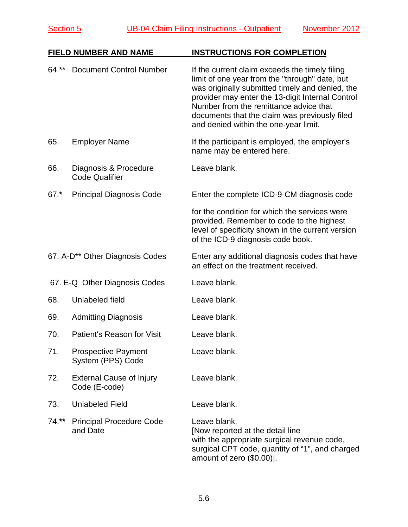|        | <b>FIELD NUMBER AND NAME</b>                     | <b>INSTRUCTIONS FOR COMPLETION</b>                                                                                                                                                                                                                                                                                                          |
|--------|--------------------------------------------------|---------------------------------------------------------------------------------------------------------------------------------------------------------------------------------------------------------------------------------------------------------------------------------------------------------------------------------------------|
| 64.**  | <b>Document Control Number</b>                   | If the current claim exceeds the timely filing<br>limit of one year from the "through" date, but<br>was originally submitted timely and denied, the<br>provider may enter the 13-digit Internal Control<br>Number from the remittance advice that<br>documents that the claim was previously filed<br>and denied within the one-year limit. |
| 65.    | <b>Employer Name</b>                             | If the participant is employed, the employer's<br>name may be entered here.                                                                                                                                                                                                                                                                 |
| 66.    | Diagnosis & Procedure<br><b>Code Qualifier</b>   | Leave blank.                                                                                                                                                                                                                                                                                                                                |
| $67.*$ | <b>Principal Diagnosis Code</b>                  | Enter the complete ICD-9-CM diagnosis code                                                                                                                                                                                                                                                                                                  |
|        |                                                  | for the condition for which the services were<br>provided. Remember to code to the highest<br>level of specificity shown in the current version<br>of the ICD-9 diagnosis code book.                                                                                                                                                        |
|        | 67. A-D <sup>**</sup> Other Diagnosis Codes      | Enter any additional diagnosis codes that have<br>an effect on the treatment received.                                                                                                                                                                                                                                                      |
|        | 67. E-Q Other Diagnosis Codes                    | Leave blank.                                                                                                                                                                                                                                                                                                                                |
| 68.    | Unlabeled field                                  | Leave blank.                                                                                                                                                                                                                                                                                                                                |
| 69.    | <b>Admitting Diagnosis</b>                       | Leave blank.                                                                                                                                                                                                                                                                                                                                |
| 70.    | Patient's Reason for Visit                       | Leave blank.                                                                                                                                                                                                                                                                                                                                |
| 71.    | <b>Prospective Payment</b><br>System (PPS) Code  | Leave blank.                                                                                                                                                                                                                                                                                                                                |
| 72.    | <b>External Cause of Injury</b><br>Code (E-code) | Leave blank.                                                                                                                                                                                                                                                                                                                                |
| 73.    | <b>Unlabeled Field</b>                           | Leave blank.                                                                                                                                                                                                                                                                                                                                |
| 74.**  | <b>Principal Procedure Code</b><br>and Date      | Leave blank.<br>[Now reported at the detail line<br>with the appropriate surgical revenue code,<br>surgical CPT code, quantity of "1", and charged<br>amount of zero (\$0.00)].                                                                                                                                                             |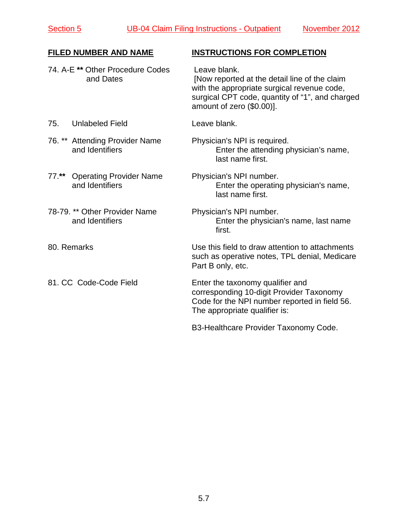| <b>FILED NUMBER AND NAME</b>                                 | <b>INSTRUCTIONS FOR COMPLETION</b>                                                                                                                                                           |
|--------------------------------------------------------------|----------------------------------------------------------------------------------------------------------------------------------------------------------------------------------------------|
| 74. A-E ** Other Procedure Codes<br>and Dates                | Leave blank.<br>[Now reported at the detail line of the claim<br>with the appropriate surgical revenue code,<br>surgical CPT code, quantity of "1", and charged<br>amount of zero (\$0.00)]. |
| <b>Unlabeled Field</b><br>75.                                | Leave blank.                                                                                                                                                                                 |
| 76. ** Attending Provider Name<br>and Identifiers            | Physician's NPI is required.<br>Enter the attending physician's name,<br>last name first.                                                                                                    |
| $77.**$<br><b>Operating Provider Name</b><br>and Identifiers | Physician's NPI number.<br>Enter the operating physician's name,<br>last name first.                                                                                                         |
| 78-79. ** Other Provider Name<br>and Identifiers             | Physician's NPI number.<br>Enter the physician's name, last name<br>first.                                                                                                                   |
| 80. Remarks                                                  | Use this field to draw attention to attachments<br>such as operative notes, TPL denial, Medicare<br>Part B only, etc.                                                                        |
| 81. CC Code-Code Field                                       | Enter the taxonomy qualifier and<br>corresponding 10-digit Provider Taxonomy<br>Code for the NPI number reported in field 56.<br>The appropriate qualifier is:                               |
|                                                              | B3-Healthcare Provider Taxonomy Code.                                                                                                                                                        |